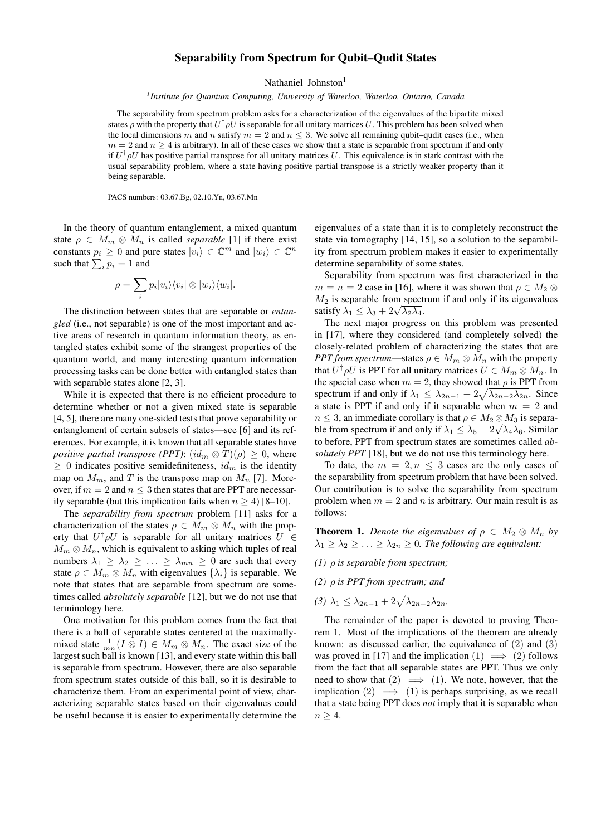## Separability from Spectrum for Qubit–Qudit States

Nathaniel Johnston<sup>1</sup>

*1 Institute for Quantum Computing, University of Waterloo, Waterloo, Ontario, Canada*

The separability from spectrum problem asks for a characterization of the eigenvalues of the bipartite mixed states  $\rho$  with the property that  $U^\dagger \rho U$  is separable for all unitary matrices U. This problem has been solved when the local dimensions m and n satisfy  $m = 2$  and  $n \le 3$ . We solve all remaining qubit–qudit cases (i.e., when  $m = 2$  and  $n \ge 4$  is arbitrary). In all of these cases we show that a state is separable from spectrum if and only if  $U^{\dagger} \rho U$  has positive partial transpose for all unitary matrices U. This equivalence is in stark contrast with the usual separability problem, where a state having positive partial transpose is a strictly weaker property than it being separable.

PACS numbers: 03.67.Bg, 02.10.Yn, 03.67.Mn

In the theory of quantum entanglement, a mixed quantum state  $\rho \in M_m \otimes M_n$  is called *separable* [1] if there exist constants  $p_i \geq 0$  and pure states  $|v_i\rangle \in \mathbb{C}^m$  and  $|w_i\rangle \in \mathbb{C}^m$ such that  $\sum_i p_i = 1$  and

$$
\rho = \sum_{i} p_i |v_i\rangle\langle v_i| \otimes |w_i\rangle\langle w_i|.
$$

The distinction between states that are separable or *entangled* (i.e., not separable) is one of the most important and active areas of research in quantum information theory, as entangled states exhibit some of the strangest properties of the quantum world, and many interesting quantum information processing tasks can be done better with entangled states than with separable states alone [2, 3].

While it is expected that there is no efficient procedure to determine whether or not a given mixed state is separable [4, 5], there are many one-sided tests that prove separability or entanglement of certain subsets of states—see [6] and its references. For example, it is known that all separable states have *positive partial transpose (PPT):*  $(id_m \otimes T)(\rho) > 0$ , where  $\geq 0$  indicates positive semidefiniteness,  $id_m$  is the identity map on  $M_m$ , and T is the transpose map on  $M_n$  [7]. Moreover, if  $m = 2$  and  $n \leq 3$  then states that are PPT are necessarily separable (but this implication fails when  $n \geq 4$ ) [8–10].

The *separability from spectrum* problem [11] asks for a characterization of the states  $\rho \in M_m \otimes M_n$  with the property that  $U^{\dagger} \rho U$  is separable for all unitary matrices  $U \in$  $M_m \otimes M_n$ , which is equivalent to asking which tuples of real numbers  $\lambda_1 \geq \lambda_2 \geq \ldots \geq \lambda_{mn} \geq 0$  are such that every state  $\rho \in M_m \otimes M_n$  with eigenvalues  $\{\lambda_i\}$  is separable. We note that states that are separable from spectrum are sometimes called *absolutely separable* [12], but we do not use that terminology here.

One motivation for this problem comes from the fact that there is a ball of separable states centered at the maximallymixed state  $\frac{1}{mn}(I \otimes I) \in M_m \otimes M_n$ . The exact size of the largest such ball is known [13], and every state within this ball is separable from spectrum. However, there are also separable from spectrum states outside of this ball, so it is desirable to characterize them. From an experimental point of view, characterizing separable states based on their eigenvalues could be useful because it is easier to experimentally determine the eigenvalues of a state than it is to completely reconstruct the state via tomography [14, 15], so a solution to the separability from spectrum problem makes it easier to experimentally determine separability of some states.

Separability from spectrum was first characterized in the  $m = n = 2$  case in [16], where it was shown that  $\rho \in M_2 \otimes$  $M<sub>2</sub>$  is separable from spectrum if and only if its eigenvalues  $m_2$  is separable from spect<br>satisfy  $\lambda_1 \leq \lambda_3 + 2\sqrt{\lambda_2 \lambda_4}$ .

The next major progress on this problem was presented in [17], where they considered (and completely solved) the closely-related problem of characterizing the states that are *PPT from spectrum—states*  $\rho \in M_m \otimes M_n$  with the property that  $U^{\dagger} \rho U$  is PPT for all unitary matrices  $U \in M_m \otimes M_n$ . In the special case when  $m = 2$ , they showed that  $\rho$  is PPT from spectrum if and only if  $\lambda_1 \leq \lambda_{2n-1} + 2\sqrt{\lambda_{2n-2}\lambda_{2n}}$ . Since a state is PPT if and only if it separable when  $m = 2$  and  $n \leq 3$ , an immediate corollary is that  $\rho \in M_2 \otimes M_3$  is separa $n \leq s$ , an immediate coronary is that  $\rho \in M_2 \otimes M_3$  is separa-<br>ble from spectrum if and only if  $\lambda_1 \leq \lambda_5 + 2\sqrt{\lambda_4 \lambda_6}$ . Similar to before, PPT from spectrum states are sometimes called *absolutely PPT* [18], but we do not use this terminology here.

To date, the  $m = 2, n \leq 3$  cases are the only cases of the separability from spectrum problem that have been solved. Our contribution is to solve the separability from spectrum problem when  $m = 2$  and n is arbitrary. Our main result is as follows:

**Theorem 1.** *Denote the eigenvalues of*  $\rho \in M_2 \otimes M_n$  *by*  $\lambda_1 \geq \lambda_2 \geq \ldots \geq \lambda_{2n} \geq 0$ . The following are equivalent:

*(1)* ρ *is separable from spectrum;*

*(2)* ρ *is PPT from spectrum; and*

(3)  $\lambda_1 \leq \lambda_{2n-1} + 2\sqrt{\lambda_{2n-2}\lambda_{2n}}$ .

The remainder of the paper is devoted to proving Theorem 1. Most of the implications of the theorem are already known: as discussed earlier, the equivalence of  $(2)$  and  $(3)$ was proved in [17] and the implication  $(1) \implies (2)$  follows from the fact that all separable states are PPT. Thus we only need to show that  $(2) \implies (1)$ . We note, however, that the implication (2)  $\implies$  (1) is perhaps surprising, as we recall that a state being PPT does *not* imply that it is separable when  $n > 4$ .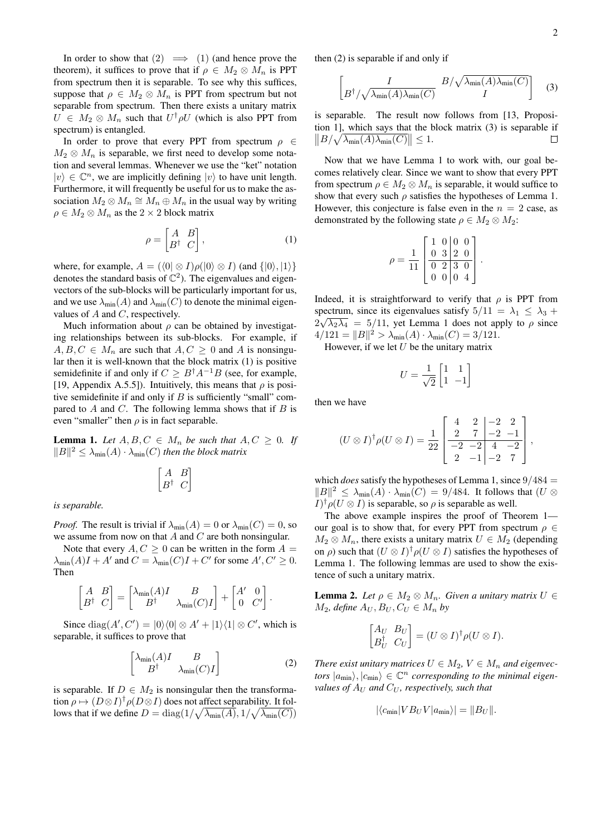In order to show that  $(2) \implies (1)$  (and hence prove the theorem), it suffices to prove that if  $\rho \in M_2 \otimes M_n$  is PPT from spectrum then it is separable. To see why this suffices, suppose that  $\rho \in M_2 \otimes M_n$  is PPT from spectrum but not separable from spectrum. Then there exists a unitary matrix  $U \in M_2 \otimes M_n$  such that  $U^{\dagger} \rho U$  (which is also PPT from spectrum) is entangled.

In order to prove that every PPT from spectrum  $\rho \in$  $M_2 \otimes M_n$  is separable, we first need to develop some notation and several lemmas. Whenever we use the "ket" notation  $|v\rangle \in \mathbb{C}^n$ , we are implicitly defining  $|v\rangle$  to have unit length. Furthermore, it will frequently be useful for us to make the association  $M_2 \otimes M_n \cong M_n \oplus M_n$  in the usual way by writing  $\rho \in M_2 \otimes M_n$  as the 2 × 2 block matrix

$$
\rho = \begin{bmatrix} A & B \\ B^{\dagger} & C \end{bmatrix},\tag{1}
$$

where, for example,  $A = (\langle 0 | \otimes I \rangle \rho (|0 \rangle \otimes I)$  (and  $\{|0 \rangle, |1 \rangle\}$ denotes the standard basis of  $\mathbb{C}^2$ ). The eigenvalues and eigenvectors of the sub-blocks will be particularly important for us, and we use  $\lambda_{\min}(A)$  and  $\lambda_{\min}(C)$  to denote the minimal eigenvalues of  $A$  and  $C$ , respectively.

Much information about  $\rho$  can be obtained by investigating relationships between its sub-blocks. For example, if  $A, B, C \in M_n$  are such that  $A, C \geq 0$  and A is nonsingular then it is well-known that the block matrix (1) is positive semidefinite if and only if  $C \geq B^{\dagger} A^{-1} B$  (see, for example, [19, Appendix A.5.5]). Intuitively, this means that  $\rho$  is positive semidefinite if and only if  $B$  is sufficiently "small" compared to A and C. The following lemma shows that if  $B$  is even "smaller" then  $\rho$  is in fact separable.

**Lemma 1.** Let  $A, B, C \in M_n$  be such that  $A, C \geq 0$ . If  $||B||^2 \leq \lambda_{\min}(A) \cdot \lambda_{\min}(C)$  *then the block matrix* 

$$
\begin{bmatrix} A & B \\ B^{\dagger} & C \end{bmatrix}
$$

*is separable.*

*Proof.* The result is trivial if  $\lambda_{\min}(A) = 0$  or  $\lambda_{\min}(C) = 0$ , so we assume from now on that  $A$  and  $C$  are both nonsingular.

Note that every  $A, C > 0$  can be written in the form  $A =$  $\lambda_{\min}(A)I + A'$  and  $C = \lambda_{\min}(C)I + C'$  for some  $A', C' \ge 0$ . Then

$$
\begin{bmatrix} A & B \\ B^{\dagger} & C \end{bmatrix} = \begin{bmatrix} \lambda_{\min}(A)I & B \\ B^{\dagger} & \lambda_{\min}(C)I \end{bmatrix} + \begin{bmatrix} A' & 0 \\ 0 & C' \end{bmatrix}
$$

Since  $\text{diag}(A', C') = |0\rangle\langle 0| \otimes A' + |1\rangle\langle 1| \otimes C'$ , which is separable, it suffices to prove that

$$
\begin{bmatrix}\n\lambda_{\min}(A)I & B \\
B^{\dagger} & \lambda_{\min}(C)I\n\end{bmatrix}
$$
\n(2)

.

is separable. If  $D \in M_2$  is nonsingular then the transformation  $\rho \mapsto (D \otimes I)^{\dagger} \rho (D \otimes I)$  does not affect separability. It follows that if we define  $D = \text{diag}(1/\sqrt{\lambda_{\text{min}}(A)}, 1/\sqrt{\lambda_{\text{min}}(C)})$ 

then (2) is separable if and only if

$$
\begin{bmatrix} I & B/\sqrt{\lambda_{\min}(A)\lambda_{\min}(C)} \\ B^{\dagger}/\sqrt{\lambda_{\min}(A)\lambda_{\min}(C)} & I \end{bmatrix} \tag{3}
$$

is separable. The result now follows from [13, Proposition 1], which says that the block matrix (3) is separable if  $||B/\sqrt{\lambda_{\min}(A)\lambda_{\min}(C)}|| \leq 1.$  $\Box$ 

Now that we have Lemma 1 to work with, our goal becomes relatively clear. Since we want to show that every PPT from spectrum  $\rho \in M_2 \otimes M_n$  is separable, it would suffice to show that every such  $\rho$  satisfies the hypotheses of Lemma 1. However, this conjecture is false even in the  $n = 2$  case, as demonstrated by the following state  $\rho \in M_2 \otimes M_2$ :

$$
\rho = \frac{1}{11} \begin{bmatrix} 1 & 0 & 0 & 0 \\ 0 & 3 & 2 & 0 \\ \hline 0 & 2 & 3 & 0 \\ 0 & 0 & 0 & 4 \end{bmatrix}.
$$

Indeed, it is straightforward to verify that  $\rho$  is PPT from spectrum, since its eigenvalues satisfy  $5/11 = \lambda_1 \leq \lambda_3 + \lambda_4$  $2\sqrt{\lambda_2\lambda_4}$  = 5/11, yet Lemma 1 does not apply to  $\rho$  since  $4/121 = ||B||^2 > \lambda_{\min}(A) \cdot \lambda_{\min}(C) = 3/121.$ 

However, if we let  $U$  be the unitary matrix

$$
U = \frac{1}{\sqrt{2}} \begin{bmatrix} 1 & 1 \\ 1 & -1 \end{bmatrix}
$$

then we have

$$
(U \otimes I)^{\dagger} \rho (U \otimes I) = \frac{1}{22} \begin{bmatrix} 4 & 2 & -2 & 2 \\ 2 & 7 & -2 & -1 \\ \hline -2 & -2 & 4 & -2 \\ 2 & -1 & -2 & 7 \end{bmatrix},
$$

which *does* satisfy the hypotheses of Lemma 1, since  $9/484$  =  $||B||^2 \leq \lambda_{\min}(A) \cdot \lambda_{\min}(C) = 9/484$ . It follows that  $(U \otimes$  $I^{\dagger} \rho (U \otimes I)$  is separable, so  $\rho$  is separable as well.

The above example inspires the proof of Theorem 1 our goal is to show that, for every PPT from spectrum  $\rho \in$  $M_2 \otimes M_n$ , there exists a unitary matrix  $U \in M_2$  (depending on  $\rho$ ) such that  $(U \otimes I)^{\dagger} \rho(U \otimes I)$  satisfies the hypotheses of Lemma 1. The following lemmas are used to show the existence of such a unitary matrix.

**Lemma 2.** Let  $\rho \in M_2 \otimes M_n$ . Given a unitary matrix  $U \in$  $M_2$ , define  $A_U, B_U, C_U \in M_n$  by

$$
\begin{bmatrix} A_U & B_U \ B_U^{\dagger} & C_U \end{bmatrix} = (U \otimes I)^{\dagger} \rho (U \otimes I).
$$

*There exist unitary matrices*  $U \in M_2$ ,  $V \in M_n$  *and eigenvectors*  $|a_{\text{min}}\rangle, |c_{\text{min}}\rangle \in \mathbb{C}^n$  *corresponding to the minimal eigenvalues of*  $A_U$  *and*  $C_U$ *, respectively, such that* 

$$
|\langle c_{\min} | V B_U V | a_{\min} \rangle| = ||B_U||.
$$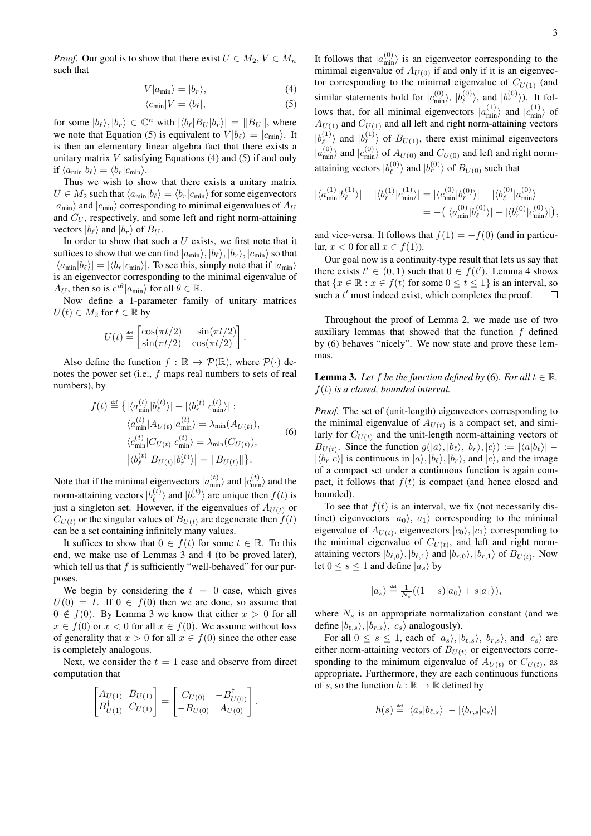*Proof.* Our goal is to show that there exist  $U \in M_2$ ,  $V \in M_n$ such that

$$
V|a_{\min}\rangle = |b_r\rangle,\tag{4}
$$

$$
\langle c_{\min} | V = \langle b_{\ell} |, \tag{5}
$$

for some  $|b_{\ell}\rangle, |b_r\rangle \in \mathbb{C}^n$  with  $|\langle b_{\ell}|B_U|b_r\rangle| = ||B_U||$ , where we note that Equation (5) is equivalent to  $V |b_{\ell}\rangle = |c_{\min}\rangle$ . It is then an elementary linear algebra fact that there exists a unitary matrix  $V$  satisfying Equations (4) and (5) if and only if  $\langle a_{\min}|b_{\ell}\rangle = \langle b_r|c_{\min}\rangle.$ 

Thus we wish to show that there exists a unitary matrix  $U \in M_2$  such that  $\langle a_{\min}|b_{\ell} \rangle = \langle b_r|c_{\min} \rangle$  for some eigenvectors  $|a_{\text{min}}\rangle$  and  $|c_{\text{min}}\rangle$  corresponding to minimal eigenvalues of  $A_U$ and  $C_U$ , respectively, and some left and right norm-attaining vectors  $|b_{\ell}\rangle$  and  $|b_{r}\rangle$  of  $B_U$ .

In order to show that such a  $U$  exists, we first note that it suffices to show that we can find  $|a_{\min}\rangle, |b_{\ell}\rangle, |b_{r}\rangle, |c_{\min}\rangle$  so that  $|\langle a_{\min}|b_{\ell}\rangle| = |\langle b_r|c_{\min}\rangle|$ . To see this, simply note that if  $|a_{\min}\rangle$ is an eigenvector corresponding to the minimal eigenvalue of  $A_U$ , then so is  $e^{i\theta} |a_{\min}\rangle$  for all  $\theta \in \mathbb{R}$ .

Now define a 1-parameter family of unitary matrices  $U(t) \in M_2$  for  $t \in \mathbb{R}$  by

$$
U(t) \stackrel{\text{def}}{=} \begin{bmatrix} \cos(\pi t/2) & -\sin(\pi t/2) \\ \sin(\pi t/2) & \cos(\pi t/2) \end{bmatrix}
$$

Also define the function  $f : \mathbb{R} \to \mathcal{P}(\mathbb{R})$ , where  $\mathcal{P}(\cdot)$  denotes the power set (i.e., f maps real numbers to sets of real numbers), by

$$
f(t) \stackrel{\text{def}}{=} \left\{ |\langle a_{\min}^{(t)} | b_{\ell}^{(t)} \rangle| - |\langle b_{r}^{(t)} | c_{\min}^{(t)} \rangle| : \langle a_{\min}^{(t)} | A_{U(t)} | a_{\min}^{(t)} \rangle = \lambda_{\min} (A_{U(t)}),
$$

$$
\langle c_{\min}^{(t)} | C_{U(t)} | c_{\min}^{(t)} \rangle = \lambda_{\min} (C_{U(t)}),
$$

$$
|\langle b_{\ell}^{(t)} | B_{U(t)} | b_{r}^{(t)} \rangle| = \| B_{U(t)} \| \right\}.
$$
 (6)

.

Note that if the minimal eigenvectors  $|a_{\min}^{(t)}\rangle$  and  $|c_{\min}^{(t)}\rangle$  and the norm-attaining vectors  $|b_{\ell}^{(t)}|$  $\binom{t}{\ell}$  and  $|b_r^{(t)}\rangle$  are unique then  $f(t)$  is just a singleton set. However, if the eigenvalues of  $A_{U(t)}$  or  $C_{U(t)}$  or the singular values of  $B_{U(t)}$  are degenerate then  $f(t)$ can be a set containing infinitely many values.

It suffices to show that  $0 \in f(t)$  for some  $t \in \mathbb{R}$ . To this end, we make use of Lemmas 3 and 4 (to be proved later), which tell us that  $f$  is sufficiently "well-behaved" for our purposes.

We begin by considering the  $t = 0$  case, which gives  $U(0) = I$ . If  $0 \in f(0)$  then we are done, so assume that  $0 \notin f(0)$ . By Lemma 3 we know that either  $x > 0$  for all  $x \in f(0)$  or  $x < 0$  for all  $x \in f(0)$ . We assume without loss of generality that  $x > 0$  for all  $x \in f(0)$  since the other case is completely analogous.

Next, we consider the  $t = 1$  case and observe from direct computation that

$$
\begin{bmatrix} A_{U(1)} & B_{U(1)} \ B_{U(1)}^{\dagger} & C_{U(1)} \end{bmatrix} = \begin{bmatrix} C_{U(0)} & -B_{U(0)}^{\dagger} \\ -B_{U(0)} & A_{U(0)} \end{bmatrix}.
$$

It follows that  $|a_{\min}^{(0)}\rangle$  is an eigenvector corresponding to the minimal eigenvalue of  $A_{U(0)}$  if and only if it is an eigenvector corresponding to the minimal eigenvalue of  $C_{U(1)}$  (and similar statements hold for  $|c_{\min}^{(0)}\rangle$ ,  $|b_{\ell}^{(0)}\rangle$  $\vert b_r^{(0)} \rangle$ , and  $\vert b_r^{(0)} \rangle$ ). It follows that, for all minimal eigenvectors  $|a_{\min}^{(1)}\rangle$  and  $|c_{\min}^{(1)}\rangle$  of  $A_{U(1)}$  and  $C_{U(1)}$  and all left and right norm-attaining vectors  $|b_{\ell}^{(1)}\>$  $\binom{1}{\ell}$  and  $\ket{b_r^{(1)}}$  of  $B_{U(1)}$ , there exist minimal eigenvectors  $|a_{\min}^{(0)}\rangle$  and  $|c_{\min}^{(0)}\rangle$  of  $A_{U(0)}$  and  $C_{U(0)}$  and left and right normattaining vectors  $|b_{\ell}^{(0)}|$  $\langle \ell^{(0)} \rangle$  and  $|b_r^{(0)} \rangle$  of  $B_{U(0)}$  such that

$$
\begin{aligned} |\langle a^{(1)}_{\min}|b^{(1)}_\ell\rangle| - |\langle b^{(1)}_r|c^{(1)}_{\min}\rangle| &= |\langle c^{(0)}_{\min}|b^{(0)}_r\rangle| - |\langle b^{(0)}_\ell|a^{(0)}_{\min}\rangle| \\ &= -\big(|\langle a^{(0)}_{\min}|b^{(0)}_\ell\rangle| - |\langle b^{(0)}_r|c^{(0)}_{\min}\rangle|\big), \end{aligned}
$$

and vice-versa. It follows that  $f(1) = -f(0)$  (and in particular,  $x < 0$  for all  $x \in f(1)$ ).

Our goal now is a continuity-type result that lets us say that there exists  $t' \in (0,1)$  such that  $0 \in f(t')$ . Lemma 4 shows that  $\{x \in \mathbb{R} : x \in f(t) \text{ for some } 0 \le t \le 1\}$  is an interval, so such a  $t'$  must indeed exist, which completes the proof.  $\Box$ 

Throughout the proof of Lemma 2, we made use of two auxiliary lemmas that showed that the function  $f$  defined by (6) behaves "nicely". We now state and prove these lemmas.

**Lemma 3.** Let f be the function defined by (6). For all  $t \in \mathbb{R}$ , f(t) *is a closed, bounded interval.*

*Proof.* The set of (unit-length) eigenvectors corresponding to the minimal eigenvalue of  $A_{U(t)}$  is a compact set, and similarly for  $C_{U(t)}$  and the unit-length norm-attaining vectors of  $B_{U(t)}$ . Since the function  $g(|a\rangle, |b_{\ell}\rangle, |b_{r}\rangle, |c\rangle) := |\langle a|b_{\ell}\rangle|$  –  $|\langle b_r | c \rangle|$  is continuous in  $|a\rangle, |b_\ell\rangle, |b_r\rangle$ , and  $|c\rangle$ , and the image of a compact set under a continuous function is again compact, it follows that  $f(t)$  is compact (and hence closed and bounded).

To see that  $f(t)$  is an interval, we fix (not necessarily distinct) eigenvectors  $|a_0\rangle, |a_1\rangle$  corresponding to the minimal eigenvalue of  $A_{U(t)}$ , eigenvectors  $|c_0\rangle, |c_1\rangle$  corresponding to the minimal eigenvalue of  $C_{U(t)}$ , and left and right normattaining vectors  $|b_{\ell,0}\rangle, |b_{\ell,1}\rangle$  and  $|b_{r,0}\rangle, |b_{r,1}\rangle$  of  $B_{U(t)}$ . Now let  $0 \le s \le 1$  and define  $|a_s\rangle$  by

$$
|a_s\rangle \stackrel{\text{def}}{=} \frac{1}{N_s}((1-s)|a_0\rangle + s|a_1\rangle),
$$

where  $N<sub>s</sub>$  is an appropriate normalization constant (and we define  $|b_{\ell,s}\rangle, |b_{r,s}\rangle, |c_s\rangle$  analogously).

For all  $0 \le s \le 1$ , each of  $|a_s\rangle, |b_{\ell,s}\rangle, |b_{r,s}\rangle$ , and  $|c_s\rangle$  are either norm-attaining vectors of  $B_{U(t)}$  or eigenvectors corresponding to the minimum eigenvalue of  $A_{U(t)}$  or  $C_{U(t)}$ , as appropriate. Furthermore, they are each continuous functions of s, so the function  $h : \mathbb{R} \to \mathbb{R}$  defined by

$$
h(s) \stackrel{\text{def}}{=} |\langle a_s | b_{\ell,s} \rangle| - |\langle b_{r,s} | c_s \rangle|
$$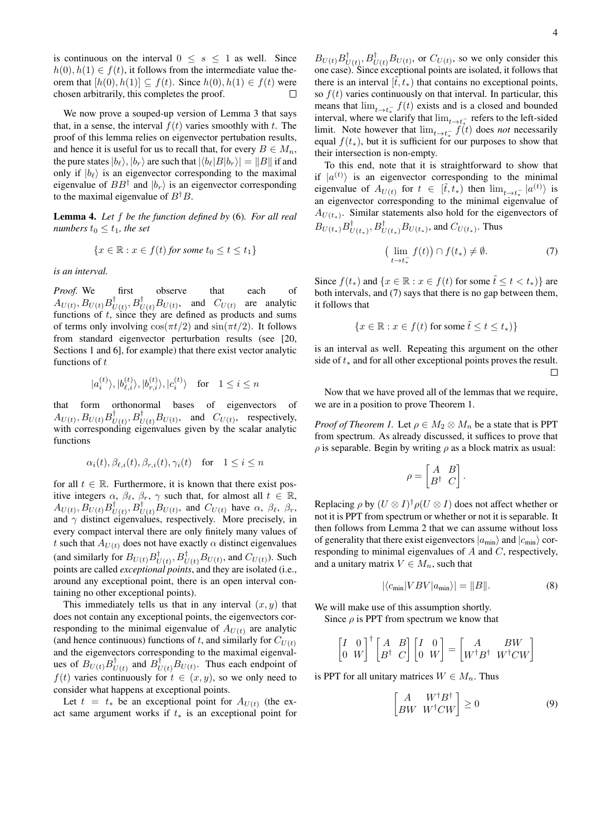is continuous on the interval  $0 \leq s \leq 1$  as well. Since  $h(0), h(1) \in f(t)$ , it follows from the intermediate value theorem that  $[h(0), h(1)] \subseteq f(t)$ . Since  $h(0), h(1) \in f(t)$  were chosen arbitrarily, this completes the proof.  $\Box$ 

We now prove a souped-up version of Lemma 3 that says that, in a sense, the interval  $f(t)$  varies smoothly with t. The proof of this lemma relies on eigenvector pertubation results, and hence it is useful for us to recall that, for every  $B \in M_n$ , the pure states  $|b_{\ell}\rangle$ ,  $|b_{r}\rangle$  are such that  $|\langle b_{\ell}|B|b_{r}\rangle| = ||B||$  if and only if  $|b_{\ell}\rangle$  is an eigenvector corresponding to the maximal eigenvalue of  $BB^{\dagger}$  and  $|b_r\rangle$  is an eigenvector corresponding to the maximal eigenvalue of  $B^{\dagger}B$ .

Lemma 4. *Let* f *be the function defined by* (6)*. For all real numbers*  $t_0 \leq t_1$ *, the set* 

$$
\{x \in \mathbb{R} : x \in f(t) \text{ for some } t_0 \le t \le t_1\}
$$

*is an interval.*

*Proof.* We first observe that each of  $\overline{A_{U(t)}}, \overline{B_{U(t)}B_{U}^{\dagger}}$  $U(t)$ ,  $B_{U(t)}^{\dagger}B_{U(t)}$ , and  $C_{U(t)}$  are analytic functions of  $t$ , since they are defined as products and sums of terms only involving  $\cos(\pi t/2)$  and  $\sin(\pi t/2)$ . It follows from standard eigenvector perturbation results (see [20, Sections 1 and 6], for example) that there exist vector analytic functions of  $t$ 

$$
|a_i^{(t)}\rangle, |b_{\ell,i}^{(t)}\rangle, |b_{r,i}^{(t)}\rangle, |c_i^{(t)}\rangle \quad \text{for} \quad 1 \leq i \leq n
$$

that form orthonormal bases of eigenvectors of  $A_{U(t)}, B_{U(t)} B_{U(t)}^{\dagger}$  $U(t)$ ,  $B_{U(t)}^{\dagger}B_{U(t)}$ , and  $C_{U(t)}$ , respectively, with corresponding eigenvalues given by the scalar analytic functions

$$
\alpha_i(t), \beta_{\ell,i}(t), \beta_{r,i}(t), \gamma_i(t) \quad \text{for} \quad 1 \le i \le n
$$

for all  $t \in \mathbb{R}$ . Furthermore, it is known that there exist positive integers  $\alpha$ ,  $\beta_{\ell}$ ,  $\beta_r$ ,  $\gamma$  such that, for almost all  $t \in \mathbb{R}$ ,  $\overline{A_{U(t)}}, \overline{B_{U(t)}B_{L}^{\dagger}}$  $U(t)$ ,  $B_{U(t)}^{\dagger}$ ,  $B_{U(t)}$ , and  $C_{U(t)}$  have  $\alpha$ ,  $\beta_{\ell}$ ,  $\beta_{r}$ , and  $\gamma$  distinct eigenvalues, respectively. More precisely, in every compact interval there are only finitely many values of t such that  $A_{U(t)}$  does not have exactly  $\alpha$  distinct eigenvalues (and similarly for  $B_{U(t)}B_{U(t)}^{\dagger}$  $U(t)$ ,  $B_{U(t)}^{\dagger}B_{U(t)}$ , and  $C_{U(t)}$ ). Such points are called *exceptional points*, and they are isolated (i.e., around any exceptional point, there is an open interval containing no other exceptional points).

This immediately tells us that in any interval  $(x, y)$  that does not contain any exceptional points, the eigenvectors corresponding to the minimal eigenvalue of  $A_{U(t)}$  are analytic (and hence continuous) functions of t, and similarly for  $C_{U(t)}$ and the eigenvectors corresponding to the maximal eigenvalues of  $B_{U(t)} B_{U(t)}^{\dagger}$  $U(t)$  and  $B_{U(t)}^{\dagger}B_{U(t)}$ . Thus each endpoint of  $f(t)$  varies continuously for  $t \in (x, y)$ , so we only need to consider what happens at exceptional points.

Let  $t = t_*$  be an exceptional point for  $A_{U(t)}$  (the exact same argument works if  $t_*$  is an exceptional point for

 $B_{U(t)}B_{L}^{\dagger}$  $U(t)$ ,  $B_{U(t)}^{\dagger}B_{U(t)}$ , or  $C_{U(t)}$ , so we only consider this one case). Since exceptional points are isolated, it follows that there is an interval  $[\tilde{t}, t_* )$  that contains no exceptional points, so  $f(t)$  varies continuously on that interval. In particular, this means that  $\lim_{t \to t_*^-} f(t)$  exists and is a closed and bounded interval, where we clarify that  $\lim_{t\to t_{\tau}}$  refers to the left-sided limit. Note however that  $\lim_{t \to t_*^-} f(t)$  does *not* necessarily equal  $f(t_*)$ , but it is sufficient for our purposes to show that their intersection is non-empty.

To this end, note that it is straightforward to show that if  $|a^{(t)}\rangle$  is an eigenvector corresponding to the minimal eigenvalue of  $A_{U(t)}$  for  $t \in [\tilde{t}, t_*]$  then  $\lim_{t \to t_*^-} |a^{(t)}\rangle$  is an eigenvector corresponding to the minimal eigenvalue of  $A_{U(t_*)}$ . Similar statements also hold for the eigenvectors of  $B_{U(t_*)}B_{U}^{\dagger}$  $U(t_*)$ ,  $B_{U(t_*)}^{\dagger}B_{U(t_*)}$ , and  $C_{U(t_*)}$ . Thus

$$
\left(\lim_{t \to t_*^-} f(t)\right) \cap f(t_*) \neq \emptyset. \tag{7}
$$

Since  $f(t_*)$  and  $\{x \in \mathbb{R} : x \in f(t) \text{ for some } t \leq t < t_*\}$  are both intervals, and (7) says that there is no gap between them, it follows that

$$
\{x \in \mathbb{R} : x \in f(t) \text{ for some } \tilde{t} \le t \le t_*\}
$$

is an interval as well. Repeating this argument on the other side of  $t_*$  and for all other exceptional points proves the result.  $\Box$ 

Now that we have proved all of the lemmas that we require, we are in a position to prove Theorem 1.

*Proof of Theorem 1.* Let  $\rho \in M_2 \otimes M_n$  be a state that is PPT from spectrum. As already discussed, it suffices to prove that  $\rho$  is separable. Begin by writing  $\rho$  as a block matrix as usual:

$$
\rho = \begin{bmatrix} A & B \\ B^{\dagger} & C \end{bmatrix}.
$$

Replacing  $\rho$  by  $(U \otimes I)^{\dagger} \rho(U \otimes I)$  does not affect whether or not it is PPT from spectrum or whether or not it is separable. It then follows from Lemma 2 that we can assume without loss of generality that there exist eigenvectors  $|a_{min}\rangle$  and  $|c_{min}\rangle$  corresponding to minimal eigenvalues of A and C, respectively, and a unitary matrix  $V \in M_n$ , such that

$$
|\langle c_{\min} | VBV | a_{\min} \rangle| = ||B||. \tag{8}
$$

We will make use of this assumption shortly.

Since  $\rho$  is PPT from spectrum we know that

$$
\begin{bmatrix} I & 0 \\ 0 & W \end{bmatrix}^\dagger \begin{bmatrix} A & B \\ B^\dagger & C \end{bmatrix} \begin{bmatrix} I & 0 \\ 0 & W \end{bmatrix} = \begin{bmatrix} A & BW \\ W^\dagger B^\dagger & W^\dagger C W \end{bmatrix}
$$

is PPT for all unitary matrices  $W \in M_n$ . Thus

$$
\begin{bmatrix} A & W^{\dagger} B^{\dagger} \\ B W & W^{\dagger} C W \end{bmatrix} \ge 0
$$
 (9)